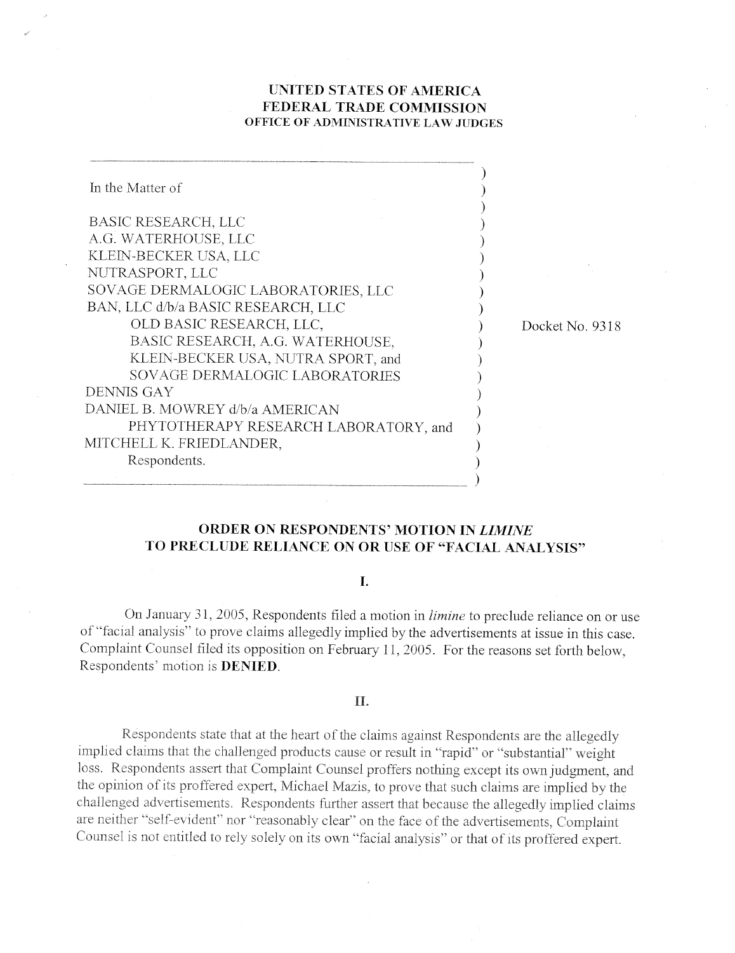# UNITED STATES OF AMERICA FEDERAL TRADE COMMISSION OFFICE OF ADMINISTRATIVE LAW JUDGES

| In the Matter of                      |                 |
|---------------------------------------|-----------------|
| BASIC RESEARCH, LLC                   |                 |
| A.G. WATERHOUSE, LLC                  |                 |
| KLEIN-BECKER USA, LLC                 |                 |
| NUTRASPORT, LLC                       |                 |
| SOVAGE DERMALOGIC LABORATORIES, LLC   |                 |
| BAN, LLC d/b/a BASIC RESEARCH, LLC    |                 |
| OLD BASIC RESEARCH, LLC,              | Docket No. 9318 |
| BASIC RESEARCH, A.G. WATERHOUSE,      |                 |
| KLEIN-BECKER USA, NUTRA SPORT, and    |                 |
| SOVAGE DERMALOGIC LABORATORIES        |                 |
| DENNIS GAY                            |                 |
| DANIEL B. MOWREY d/b/a AMERICAN       |                 |
| PHYTOTHERAPY RESEARCH LABORATORY, and |                 |
| MITCHELL K. FRIEDLANDER,              |                 |
| Respondents.                          |                 |
|                                       |                 |

# ORDER ON RESPONDENTS' MOTION IN LIMINE TO PRECLUDE RELIANCE ON OR USE OF "FACIAL ANALYSIS"

## $\mathbf{L}$

On January 31, 2005, Respondents filed a motion in *limine* to preclude reliance on or use of "facial analysis" to prove claims allegedly implied by the advertisements at issue in this case. Complaint Counsel filed its opposition on February 11, 2005. For the reasons set forth below, Respondents' motion is **DENIED**.

#### II.

Respondents state that at the heart of the claims against Respondents are the allegedly implied claims that the challenged products cause or result in "rapid" or "substantial" weight loss. Respondents assert that Complaint Counsel proffers nothing except its own judgment, and the opinion of its proffered expert, Michael Mazis, to prove that such claims are implied by the challenged advertisements. Respondents further assert that because the allegedly implied claims are neither "self-evident" nor "reasonably clear" on the face of the advertisements, Complaint Counsel is not entitled to rely solely on its own "facial analysis" or that of its proffered expert.